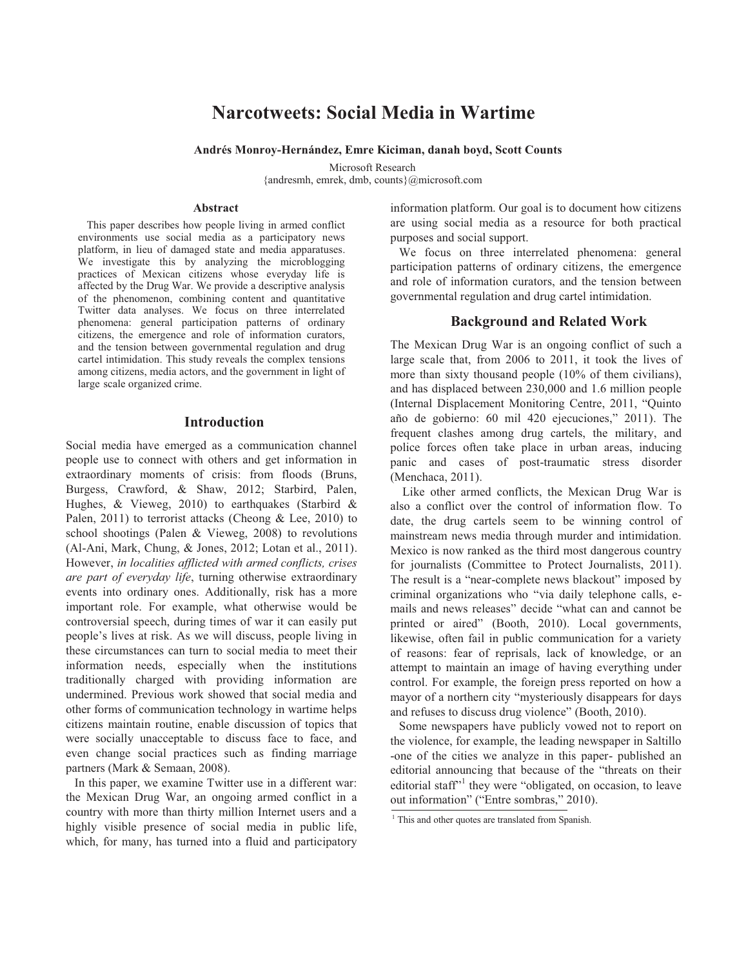# **Narcotweets: Social Media in Wartime**

### **Andrés Monroy-Hernández, Emre Kiciman, danah boyd, Scott Counts**

Microsoft Research {andresmh, emrek, dmb, counts}@microsoft.com

#### **Abstract**

This paper describes how people living in armed conflict environments use social media as a participatory news platform, in lieu of damaged state and media apparatuses. We investigate this by analyzing the microblogging practices of Mexican citizens whose everyday life is affected by the Drug War. We provide a descriptive analysis of the phenomenon, combining content and quantitative Twitter data analyses. We focus on three interrelated phenomena: general participation patterns of ordinary citizens, the emergence and role of information curators, and the tension between governmental regulation and drug cartel intimidation. This study reveals the complex tensions among citizens, media actors, and the government in light of large scale organized crime.

### **Introduction**

Social media have emerged as a communication channel people use to connect with others and get information in extraordinary moments of crisis: from floods (Bruns, Burgess, Crawford, & Shaw, 2012; Starbird, Palen, Hughes, & Vieweg, 2010) to earthquakes (Starbird & Palen, 2011) to terrorist attacks (Cheong & Lee, 2010) to school shootings (Palen & Vieweg, 2008) to revolutions (Al-Ani, Mark, Chung, & Jones, 2012; Lotan et al., 2011). However, *in localities afflicted with armed conflicts, crises are part of everyday life*, turning otherwise extraordinary events into ordinary ones. Additionally, risk has a more important role. For example, what otherwise would be controversial speech, during times of war it can easily put people's lives at risk. As we will discuss, people living in these circumstances can turn to social media to meet their information needs, especially when the institutions traditionally charged with providing information are undermined. Previous work showed that social media and other forms of communication technology in wartime helps citizens maintain routine, enable discussion of topics that were socially unacceptable to discuss face to face, and even change social practices such as finding marriage partners (Mark & Semaan, 2008).

In this paper, we examine Twitter use in a different war: the Mexican Drug War, an ongoing armed conflict in a country with more than thirty million Internet users and a highly visible presence of social media in public life, which, for many, has turned into a fluid and participatory

information platform. Our goal is to document how citizens are using social media as a resource for both practical purposes and social support.

We focus on three interrelated phenomena: general participation patterns of ordinary citizens, the emergence and role of information curators, and the tension between governmental regulation and drug cartel intimidation.

# **Background and Related Work**

The Mexican Drug War is an ongoing conflict of such a large scale that, from 2006 to 2011, it took the lives of more than sixty thousand people (10% of them civilians), and has displaced between 230,000 and 1.6 million people (Internal Displacement Monitoring Centre, 2011, "Quinto año de gobierno: 60 mil 420 ejecuciones," 2011). The frequent clashes among drug cartels, the military, and police forces often take place in urban areas, inducing panic and cases of post-traumatic stress disorder (Menchaca, 2011).

Like other armed conflicts, the Mexican Drug War is also a conflict over the control of information flow. To date, the drug cartels seem to be winning control of mainstream news media through murder and intimidation. Mexico is now ranked as the third most dangerous country for journalists (Committee to Protect Journalists, 2011). The result is a "near-complete news blackout" imposed by criminal organizations who "via daily telephone calls, emails and news releases" decide "what can and cannot be printed or aired" (Booth, 2010). Local governments, likewise, often fail in public communication for a variety of reasons: fear of reprisals, lack of knowledge, or an attempt to maintain an image of having everything under control. For example, the foreign press reported on how a mayor of a northern city "mysteriously disappears for days and refuses to discuss drug violence" (Booth, 2010).

Some newspapers have publicly vowed not to report on the violence, for example, the leading newspaper in Saltillo -one of the cities we analyze in this paper- published an editorial announcing that because of the "threats on their editorial staff"<sup>1</sup> they were "obligated, on occasion, to leave out information" ("Entre sombras," 2010).

<sup>&</sup>lt;sup>1</sup> This and other quotes are translated from Spanish.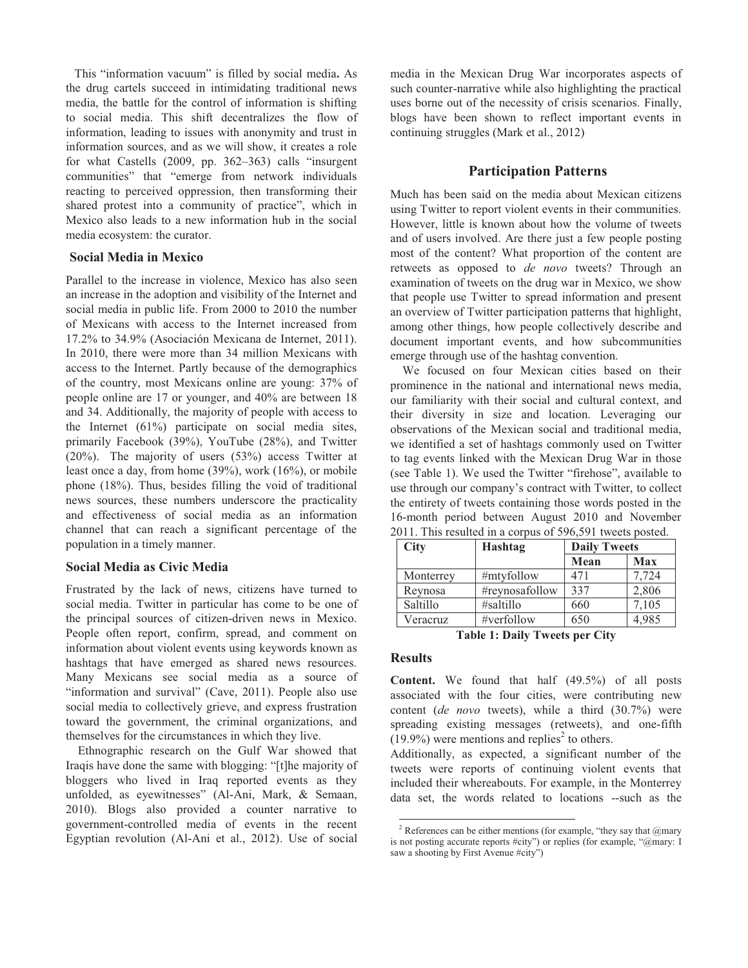This "information vacuum" is filled by social media**.** As the drug cartels succeed in intimidating traditional news media, the battle for the control of information is shifting to social media. This shift decentralizes the flow of information, leading to issues with anonymity and trust in information sources, and as we will show, it creates a role for what Castells (2009, pp. 362–363) calls "insurgent communities" that "emerge from network individuals reacting to perceived oppression, then transforming their shared protest into a community of practice", which in Mexico also leads to a new information hub in the social media ecosystem: the curator.

# **Social Media in Mexico**

Parallel to the increase in violence, Mexico has also seen an increase in the adoption and visibility of the Internet and social media in public life. From 2000 to 2010 the number of Mexicans with access to the Internet increased from 17.2% to 34.9% (Asociación Mexicana de Internet, 2011). In 2010, there were more than 34 million Mexicans with access to the Internet. Partly because of the demographics of the country, most Mexicans online are young: 37% of people online are 17 or younger, and 40% are between 18 and 34. Additionally, the majority of people with access to the Internet (61%) participate on social media sites, primarily Facebook (39%), YouTube (28%), and Twitter (20%). The majority of users (53%) access Twitter at least once a day, from home (39%), work (16%), or mobile phone (18%). Thus, besides filling the void of traditional news sources, these numbers underscore the practicality and effectiveness of social media as an information channel that can reach a significant percentage of the population in a timely manner.

# **Social Media as Civic Media**

Frustrated by the lack of news, citizens have turned to social media. Twitter in particular has come to be one of the principal sources of citizen-driven news in Mexico. People often report, confirm, spread, and comment on information about violent events using keywords known as hashtags that have emerged as shared news resources. Many Mexicans see social media as a source of "information and survival" (Cave, 2011). People also use social media to collectively grieve, and express frustration toward the government, the criminal organizations, and themselves for the circumstances in which they live.

Ethnographic research on the Gulf War showed that Iraqis have done the same with blogging: "[t]he majority of bloggers who lived in Iraq reported events as they unfolded, as eyewitnesses" (Al-Ani, Mark, & Semaan, 2010). Blogs also provided a counter narrative to government-controlled media of events in the recent Egyptian revolution (Al-Ani et al., 2012). Use of social

media in the Mexican Drug War incorporates aspects of such counter-narrative while also highlighting the practical uses borne out of the necessity of crisis scenarios. Finally, blogs have been shown to reflect important events in continuing struggles (Mark et al., 2012)

# **Participation Patterns**

Much has been said on the media about Mexican citizens using Twitter to report violent events in their communities. However, little is known about how the volume of tweets and of users involved. Are there just a few people posting most of the content? What proportion of the content are retweets as opposed to *de novo* tweets? Through an examination of tweets on the drug war in Mexico, we show that people use Twitter to spread information and present an overview of Twitter participation patterns that highlight, among other things, how people collectively describe and document important events, and how subcommunities emerge through use of the hashtag convention.

 We focused on four Mexican cities based on their prominence in the national and international news media, our familiarity with their social and cultural context, and their diversity in size and location. Leveraging our observations of the Mexican social and traditional media, we identified a set of hashtags commonly used on Twitter to tag events linked with the Mexican Drug War in those (see Table 1). We used the Twitter "firehose", available to use through our company's contract with Twitter, to collect the entirety of tweets containing those words posted in the 16-month period between August 2010 and November 2011. This resulted in a corpus of 596,591 tweets posted.

| City      | Hashtag        | <b>Daily Tweets</b> |            |
|-----------|----------------|---------------------|------------|
|           |                | Mean                | <b>Max</b> |
| Monterrey | #mtyfollow     | 471                 | 7,724      |
| Reynosa   | #reynosafollow | 337                 | 2,806      |
| Saltillo  | #saltillo      | 660                 | 7,105      |
| Veracruz  | #verfollow     | 650                 | 4,985      |

**Table 1: Daily Tweets per City** 

# **Results**

**Content.** We found that half (49.5%) of all posts associated with the four cities, were contributing new content (*de novo* tweets), while a third (30.7%) were spreading existing messages (retweets), and one-fifth  $(19.9\%)$  were mentions and replies<sup>2</sup> to others.

Additionally, as expected, a significant number of the tweets were reports of continuing violent events that included their whereabouts. For example, in the Monterrey data set, the words related to locations --such as the

<sup>&</sup>lt;sup>2</sup> References can be either mentions (for example, "they say that  $@$  mary is not posting accurate reports #city") or replies (for example, "@mary: I saw a shooting by First Avenue #city")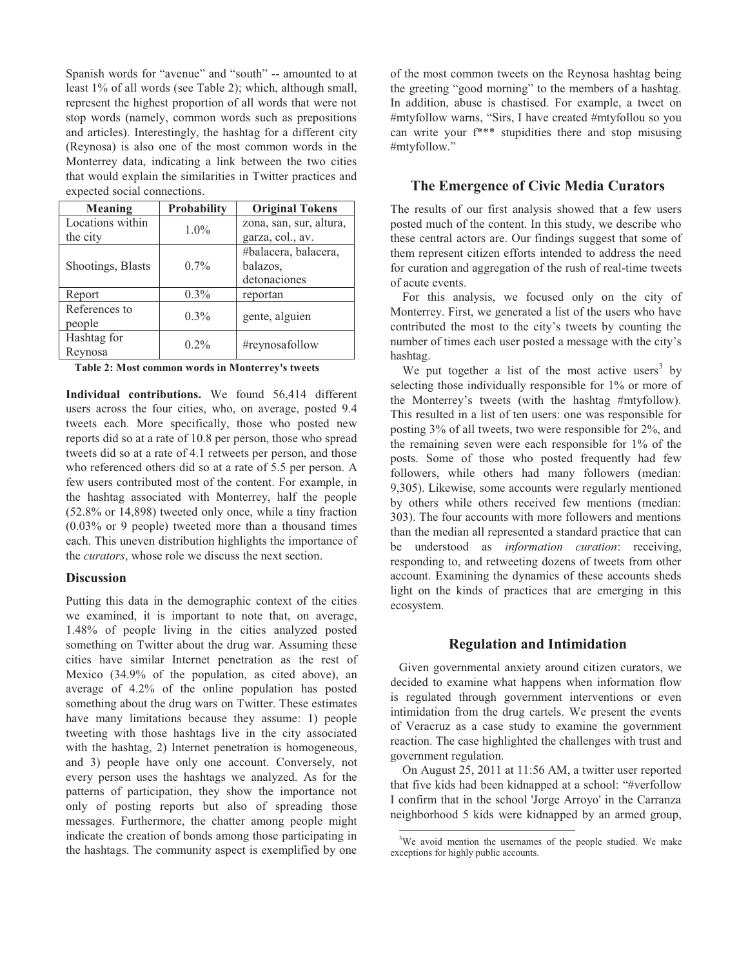Spanish words for "avenue" and "south" -- amounted to at least 1% of all words (see Table 2); which, although small, represent the highest proportion of all words that were not stop words (namely, common words such as prepositions and articles). Interestingly, the hashtag for a different city (Reynosa) is also one of the most common words in the Monterrey data, indicating a link between the two cities that would explain the similarities in Twitter practices and expected social connections.

| Meaning           | <b>Probability</b> | <b>Original Tokens</b>  |  |
|-------------------|--------------------|-------------------------|--|
| Locations within  | $1.0\%$            | zona, san, sur, altura, |  |
| the city          |                    | garza, col., av.        |  |
|                   |                    | #balacera, balacera,    |  |
| Shootings, Blasts | $0.7\%$            | balazos.                |  |
|                   |                    | detonaciones            |  |
| Report            | $0.3\%$            | reportan                |  |
| References to     | $0.3\%$            |                         |  |
| people            |                    | gente, alguien          |  |
| Hashtag for       | $0.2\%$            |                         |  |
| Reynosa           |                    | #reynosafollow          |  |

**Table 2: Most common words in Monterrey's tweets** 

**Individual contributions.** We found 56,414 different users across the four cities, who, on average, posted 9.4 tweets each. More specifically, those who posted new reports did so at a rate of 10.8 per person, those who spread tweets did so at a rate of 4.1 retweets per person, and those who referenced others did so at a rate of 5.5 per person. A few users contributed most of the content. For example, in the hashtag associated with Monterrey, half the people (52.8% or 14,898) tweeted only once, while a tiny fraction (0.03% or 9 people) tweeted more than a thousand times each. This uneven distribution highlights the importance of the *curators*, whose role we discuss the next section.

# **Discussion**

Putting this data in the demographic context of the cities we examined, it is important to note that, on average, 1.48% of people living in the cities analyzed posted something on Twitter about the drug war. Assuming these cities have similar Internet penetration as the rest of Mexico (34.9% of the population, as cited above), an average of 4.2% of the online population has posted something about the drug wars on Twitter. These estimates have many limitations because they assume: 1) people tweeting with those hashtags live in the city associated with the hashtag, 2) Internet penetration is homogeneous, and 3) people have only one account. Conversely, not every person uses the hashtags we analyzed. As for the patterns of participation, they show the importance not only of posting reports but also of spreading those messages. Furthermore, the chatter among people might indicate the creation of bonds among those participating in the hashtags. The community aspect is exemplified by one

of the most common tweets on the Reynosa hashtag being the greeting "good morning" to the members of a hashtag. In addition, abuse is chastised. For example, a tweet on #mtyfollow warns, "Sirs, I have created #mtyfollou so you can write your f\*\*\* stupidities there and stop misusing #mtyfollow."

# **The Emergence of Civic Media Curators**

The results of our first analysis showed that a few users posted much of the content. In this study, we describe who these central actors are. Our findings suggest that some of them represent citizen efforts intended to address the need for curation and aggregation of the rush of real-time tweets of acute events.

 For this analysis, we focused only on the city of Monterrey. First, we generated a list of the users who have contributed the most to the city's tweets by counting the number of times each user posted a message with the city's hashtag.

We put together a list of the most active users<sup>3</sup> by selecting those individually responsible for 1% or more of the Monterrey's tweets (with the hashtag #mtyfollow). This resulted in a list of ten users: one was responsible for posting 3% of all tweets, two were responsible for 2%, and the remaining seven were each responsible for 1% of the posts. Some of those who posted frequently had few followers, while others had many followers (median: 9,305). Likewise, some accounts were regularly mentioned by others while others received few mentions (median: 303). The four accounts with more followers and mentions than the median all represented a standard practice that can be understood as *information curation*: receiving, responding to, and retweeting dozens of tweets from other account. Examining the dynamics of these accounts sheds light on the kinds of practices that are emerging in this ecosystem.

### **Regulation and Intimidation**

Given governmental anxiety around citizen curators, we decided to examine what happens when information flow is regulated through government interventions or even intimidation from the drug cartels. We present the events of Veracruz as a case study to examine the government reaction. The case highlighted the challenges with trust and government regulation.

 On August 25, 2011 at 11:56 AM, a twitter user reported that five kids had been kidnapped at a school: "#verfollow I confirm that in the school 'Jorge Arroyo' in the Carranza neighborhood 5 kids were kidnapped by an armed group,

<sup>&</sup>lt;sup>3</sup>We avoid mention the usernames of the people studied. We make exceptions for highly public accounts.